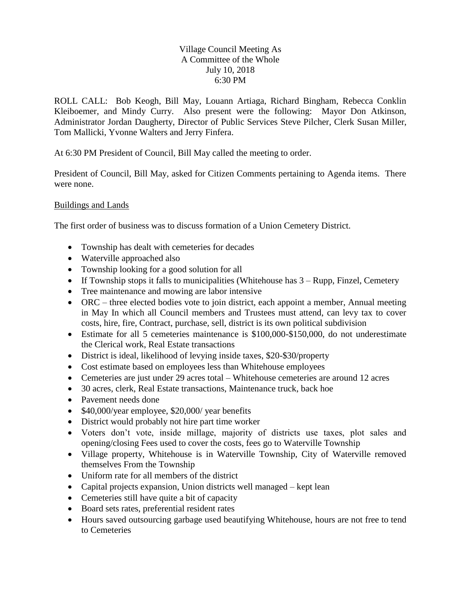## Village Council Meeting As A Committee of the Whole July 10, 2018 6:30 PM

ROLL CALL: Bob Keogh, Bill May, Louann Artiaga, Richard Bingham, Rebecca Conklin Kleiboemer, and Mindy Curry. Also present were the following: Mayor Don Atkinson, Administrator Jordan Daugherty, Director of Public Services Steve Pilcher, Clerk Susan Miller, Tom Mallicki, Yvonne Walters and Jerry Finfera.

At 6:30 PM President of Council, Bill May called the meeting to order.

President of Council, Bill May, asked for Citizen Comments pertaining to Agenda items. There were none.

## Buildings and Lands

The first order of business was to discuss formation of a Union Cemetery District.

- Township has dealt with cemeteries for decades
- Waterville approached also
- Township looking for a good solution for all
- If Township stops it falls to municipalities (Whitehouse has  $3 Rupp$ , Finzel, Cemetery
- Tree maintenance and mowing are labor intensive
- ORC three elected bodies vote to join district, each appoint a member, Annual meeting in May In which all Council members and Trustees must attend, can levy tax to cover costs, hire, fire, Contract, purchase, sell, district is its own political subdivision
- Estimate for all 5 cemeteries maintenance is \$100,000-\$150,000, do not underestimate the Clerical work, Real Estate transactions
- District is ideal, likelihood of levying inside taxes, \$20-\$30/property
- Cost estimate based on employees less than Whitehouse employees
- Cemeteries are just under 29 acres total Whitehouse cemeteries are around 12 acres
- 30 acres, clerk, Real Estate transactions, Maintenance truck, back hoe
- Pavement needs done
- $\bullet$  \$40,000/year employee, \$20,000/year benefits
- District would probably not hire part time worker
- Voters don't vote, inside millage, majority of districts use taxes, plot sales and opening/closing Fees used to cover the costs, fees go to Waterville Township
- Village property, Whitehouse is in Waterville Township, City of Waterville removed themselves From the Township
- Uniform rate for all members of the district
- Capital projects expansion, Union districts well managed kept lean
- Cemeteries still have quite a bit of capacity
- Board sets rates, preferential resident rates
- Hours saved outsourcing garbage used beautifying Whitehouse, hours are not free to tend to Cemeteries